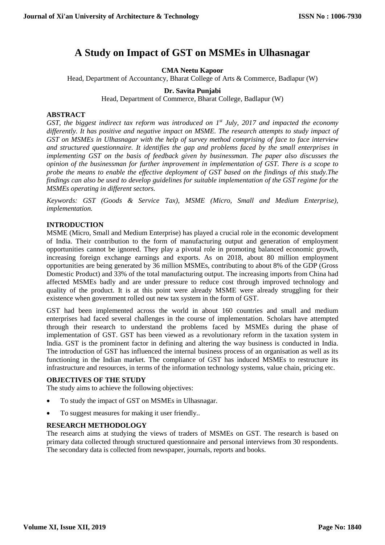# **A Study on Impact of GST on MSMEs in Ulhasnagar**

**CMA Neetu Kapoor**

Head, Department of Accountancy, Bharat College of Arts & Commerce, Badlapur (W)

**Dr. Savita Punjabi**

Head, Department of Commerce, Bharat College, Badlapur (W)

## **ABSTRACT**

*GST, the biggest indirect tax reform was introduced on 1st July, 2017 and impacted the economy differently. It has positive and negative impact on MSME. The research attempts to study impact of GST on MSMEs in Ulhasnagar with the help of survey method comprising of face to face interview and structured questionnaire. It identifies the gap and problems faced by the small enterprises in implementing GST on the basis of feedback given by businessman. The paper also discusses the opinion of the businessman for further improvement in implementation of GST. There is a scope to probe the means to enable the effective deployment of GST based on the findings of this study.The findings can also be used to develop guidelines for suitable implementation of the GST regime for the MSMEs operating in different sectors.*

*Keywords: GST (Goods & Service Tax), MSME (Micro, Small and Medium Enterprise), implementation.*

## **INTRODUCTION**

MSME (Micro, Small and Medium Enterprise) has played a crucial role in the economic development of India. Their contribution to the form of manufacturing output and generation of employment opportunities cannot be ignored. They play a pivotal role in promoting balanced economic growth, increasing foreign exchange earnings and exports. As on 2018, about 80 million employment opportunities are being generated by 36 million MSMEs, contributing to about 8% of the GDP (Gross Domestic Product) and 33% of the total manufacturing output. The increasing imports from China had affected MSMEs badly and are under pressure to reduce cost through improved technology and quality of the product. It is at this point were already MSME were already struggling for their existence when government rolled out new tax system in the form of GST.

GST had been implemented across the world in about 160 countries and small and medium enterprises had faced several challenges in the course of implementation. Scholars have attempted through their research to understand the problems faced by MSMEs during the phase of implementation of GST. GST has been viewed as a revolutionary reform in the taxation system in India. GST is the prominent factor in defining and altering the way business is conducted in India. The introduction of GST has influenced the internal business process of an organisation as well as its functioning in the Indian market. The compliance of GST has induced MSMEs to restructure its infrastructure and resources, in terms of the information technology systems, value chain, pricing etc.

#### **OBJECTIVES OF THE STUDY**

The study aims to achieve the following objectives:

- To study the impact of GST on MSMEs in Ulhasnagar.
- To suggest measures for making it user friendly..

## **RESEARCH METHODOLOGY**

The research aims at studying the views of traders of MSMEs on GST. The research is based on primary data collected through structured questionnaire and personal interviews from 30 respondents. The secondary data is collected from newspaper, journals, reports and books.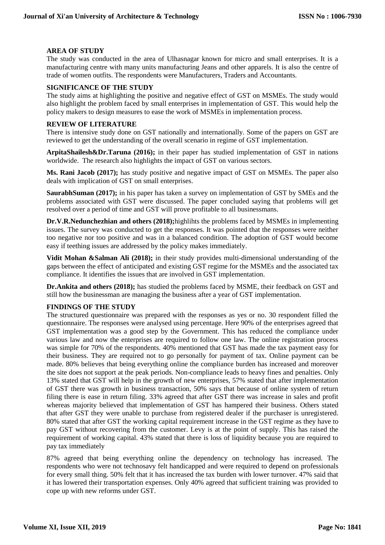## **AREA OF STUDY**

The study was conducted in the area of Ulhasnagar known for micro and small enterprises. It is a manufacturing centre with many units manufacturing Jeans and other apparels. It is also the centre of trade of women outfits. The respondents were Manufacturers, Traders and Accountants.

#### **SIGNIFICANCE OF THE STUDY**

The study aims at highlighting the positive and negative effect of GST on MSMEs. The study would also highlight the problem faced by small enterprises in implementation of GST. This would help the policy makers to design measures to ease the work of MSMEs in implementation process.

#### **REVIEW OF LITERATURE**

There is intensive study done on GST nationally and internationally. Some of the papers on GST are reviewed to get the understanding of the overall scenario in regime of GST implementation.

**ArpitaShailesh&Dr.Taruna (2016);** in their paper has studied implementation of GST in nations worldwide. The research also highlights the impact of GST on various sectors.

**Ms. Rani Jacob (2017);** has study positive and negative impact of GST on MSMEs. The paper also deals with implication of GST on small enterprises.

**SaurabhSuman (2017);** in his paper has taken a survey on implementation of GST by SMEs and the problems associated with GST were discussed. The paper concluded saying that problems will get resolved over a period of time and GST will prove profitable to all businessmans.

**Dr.V.R.Nedunchezhian and others (2018);**highlihts the problems faced by MSMEs in implementing issues. The survey was conducted to get the responses. It was pointed that the responses were neither too negative nor too positive and was in a balanced condition. The adoption of GST would become easy if teething issues are addressed by the policy makes immediately.

**Vidit Mohan &Salman Ali (2018);** in their study provides multi-dimensional understanding of the gaps between the effect of anticipated and existing GST regime for the MSMEs and the associated tax compliance. It identifies the issues that are involved in GST implementation.

**Dr.Ankita and others (2018);** has studied the problems faced by MSME, their feedback on GST and still how the businessman are managing the business after a year of GST implementation.

## **FINDINGS OF THE STUDY**

The structured questionnaire was prepared with the responses as yes or no. 30 respondent filled the questionnaire. The responses were analysed using percentage. Here 90% of the enterprises agreed that GST implementation was a good step by the Government. This has reduced the compliance under various law and now the enterprises are required to follow one law. The online registration process was simple for 70% of the respondents. 40% mentioned that GST has made the tax payment easy for their business. They are required not to go personally for payment of tax. Online payment can be made. 80% believes that being everything online the compliance burden has increased and moreover the site does not support at the peak periods. Non-compliance leads to heavy fines and penalties. Only 13% stated that GST will help in the growth of new enterprises, 57% stated that after implementation of GST there was growth in business transaction, 50% says that because of online system of return filing there is ease in return filing. 33% agreed that after GST there was increase in sales and profit whereas majority believed that implementation of GST has hampered their business. Others stated that after GST they were unable to purchase from registered dealer if the purchaser is unregistered. 80% stated that after GST the working capital requirement increase in the GST regime as they have to pay GST without recovering from the customer. Levy is at the point of supply. This has raised the requirement of working capital. 43% stated that there is loss of liquidity because you are required to pay tax immediately

87% agreed that being everything online the dependency on technology has increased. The respondents who were not technosavy felt handicapped and were required to depend on professionals for every small thing. 50% felt that it has increased the tax burden with lower turnover. 47% said that it has lowered their transportation expenses. Only 40% agreed that sufficient training was provided to cope up with new reforms under GST.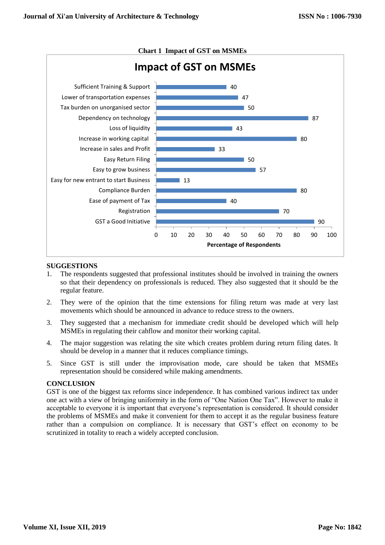

# **SUGGESTIONS**

- 1. The respondents suggested that professional institutes should be involved in training the owners so that their dependency on professionals is reduced. They also suggested that it should be the regular feature.
- 2. They were of the opinion that the time extensions for filing return was made at very last movements which should be announced in advance to reduce stress to the owners.
- 3. They suggested that a mechanism for immediate credit should be developed which will help MSMEs in regulating their cahflow and monitor their working capital.
- 4. The major suggestion was relating the site which creates problem during return filing dates. It should be develop in a manner that it reduces compliance timings.
- 5. Since GST is still under the improvisation mode, care should be taken that MSMEs representation should be considered while making amendments.

## **CONCLUSION**

GST is one of the biggest tax reforms since independence. It has combined various indirect tax under one act with a view of bringing uniformity in the form of "One Nation One Tax". However to make it acceptable to everyone it is important that everyone's representation is considered. It should consider the problems of MSMEs and make it convenient for them to accept it as the regular business feature rather than a compulsion on compliance. It is necessary that GST's effect on economy to be scrutinized in totality to reach a widely accepted conclusion.